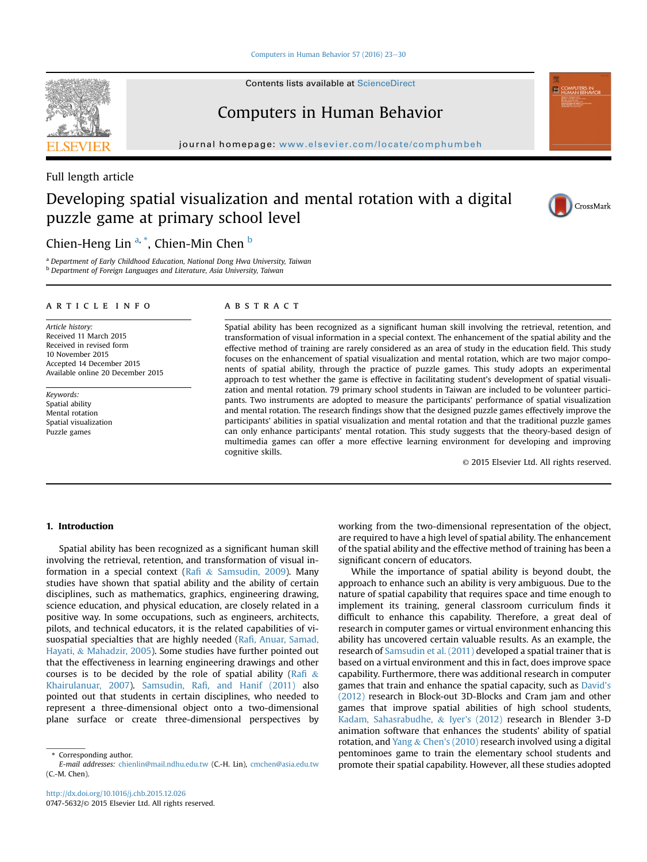[Computers in Human Behavior 57 \(2016\) 23](http://dx.doi.org/10.1016/j.chb.2015.12.026)-[30](http://dx.doi.org/10.1016/j.chb.2015.12.026)

Contents lists available at ScienceDirect

## Computers in Human Behavior

 $j$ ornal homepage: www.elsevier.com/locate/complus  $\mathbb{R}^n$ 

### Full length article

### Developing spatial visualization and mental rotation with a digital puzzle game at primary school level

Chien-Heng Lin <sup>a, \*</sup>, Chien-Min Chen <sup>b</sup>

a Department of Early Childhood Education, National Dong Hwa University, Taiwan b Department of Foreign Languages and Literature, Asia University, Taiwan

#### article info

Article history: Received 11 March 2015 Received in revised form 10 November 2015 Accepted 14 December 2015 Available online 20 December 2015

Keywords: Spatial ability Mental rotation Spatial visualization Puzzle games

#### **ABSTRACT**

Spatial ability has been recognized as a significant human skill involving the retrieval, retention, and transformation of visual information in a special context. The enhancement of the spatial ability and the effective method of training are rarely considered as an area of study in the education field. This study focuses on the enhancement of spatial visualization and mental rotation, which are two major components of spatial ability, through the practice of puzzle games. This study adopts an experimental approach to test whether the game is effective in facilitating student's development of spatial visualization and mental rotation. 79 primary school students in Taiwan are included to be volunteer participants. Two instruments are adopted to measure the participants' performance of spatial visualization and mental rotation. The research findings show that the designed puzzle games effectively improve the participants' abilities in spatial visualization and mental rotation and that the traditional puzzle games can only enhance participants' mental rotation. This study suggests that the theory-based design of multimedia games can offer a more effective learning environment for developing and improving cognitive skills.

© 2015 Elsevier Ltd. All rights reserved.

#### 1. Introduction

Spatial ability has been recognized as a significant human skill involving the retrieval, retention, and transformation of visual information in a special context (Rafi  $&$  Samsudin, 2009). Many studies have shown that spatial ability and the ability of certain disciplines, such as mathematics, graphics, engineering drawing, science education, and physical education, are closely related in a positive way. In some occupations, such as engineers, architects, pilots, and technical educators, it is the related capabilities of visuospatial specialties that are highly needed (Rafi, Anuar, Samad, Hayati, & Mahadzir, 2005). Some studies have further pointed out that the effectiveness in learning engineering drawings and other courses is to be decided by the role of spatial ability (Rafi  $\&$ Khairulanuar, 2007). Samsudin, Rafi, and Hanif (2011) also pointed out that students in certain disciplines, who needed to represent a three-dimensional object onto a two-dimensional plane surface or create three-dimensional perspectives by

working from the two-dimensional representation of the object, are required to have a high level of spatial ability. The enhancement of the spatial ability and the effective method of training has been a significant concern of educators.

While the importance of spatial ability is beyond doubt, the approach to enhance such an ability is very ambiguous. Due to the nature of spatial capability that requires space and time enough to implement its training, general classroom curriculum finds it difficult to enhance this capability. Therefore, a great deal of research in computer games or virtual environment enhancing this ability has uncovered certain valuable results. As an example, the research of Samsudin et al. (2011) developed a spatial trainer that is based on a virtual environment and this in fact, does improve space capability. Furthermore, there was additional research in computer games that train and enhance the spatial capacity, such as David's (2012) research in Block-out 3D-Blocks and Cram jam and other games that improve spatial abilities of high school students, Kadam, Sahasrabudhe, & Iyer's (2012) research in Blender 3-D animation software that enhances the students' ability of spatial rotation, and Yang  $&$  Chen's (2010) research involved using a digital pentominoes game to train the elementary school students and promote their spatial capability. However, all these studies adopted





<sup>\*</sup> Corresponding author.

E-mail addresses: [chienlin@mail.ndhu.edu.tw](mailto:chienlin@mail.ndhu.edu.tw) (C.-H. Lin), [cmchen@asia.edu.tw](mailto:cmchen@asia.edu.tw) (C.-M. Chen).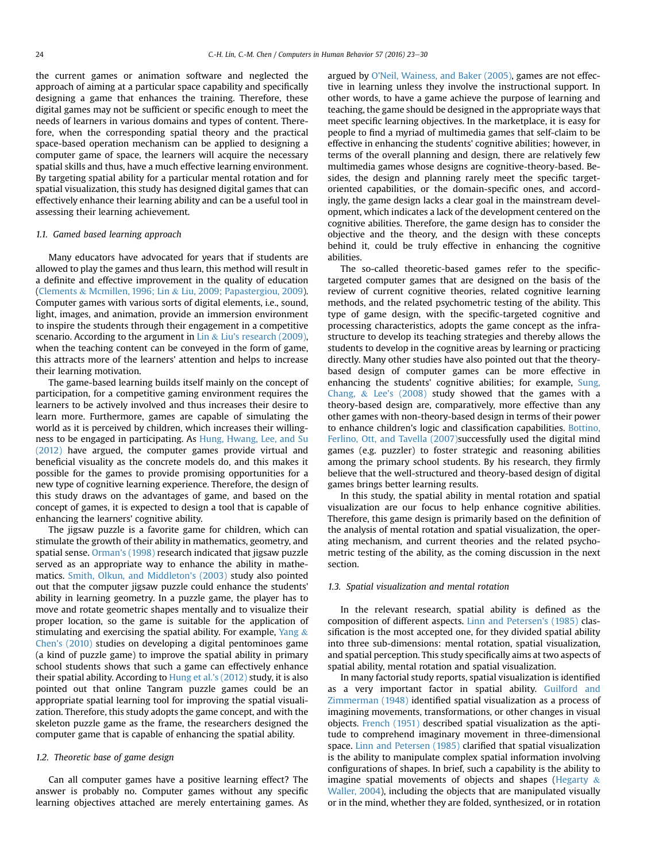the current games or animation software and neglected the approach of aiming at a particular space capability and specifically designing a game that enhances the training. Therefore, these digital games may not be sufficient or specific enough to meet the needs of learners in various domains and types of content. Therefore, when the corresponding spatial theory and the practical space-based operation mechanism can be applied to designing a computer game of space, the learners will acquire the necessary spatial skills and thus, have a much effective learning environment. By targeting spatial ability for a particular mental rotation and for spatial visualization, this study has designed digital games that can effectively enhance their learning ability and can be a useful tool in assessing their learning achievement.

#### 1.1. Gamed based learning approach

Many educators have advocated for years that if students are allowed to play the games and thus learn, this method will result in a definite and effective improvement in the quality of education (Clements & Mcmillen, 1996; Lin & Liu, 2009; Papastergiou, 2009). Computer games with various sorts of digital elements, i.e., sound, light, images, and animation, provide an immersion environment to inspire the students through their engagement in a competitive scenario. According to the argument in Lin & Liu's research (2009), when the teaching content can be conveyed in the form of game, this attracts more of the learners' attention and helps to increase their learning motivation.

The game-based learning builds itself mainly on the concept of participation, for a competitive gaming environment requires the learners to be actively involved and thus increases their desire to learn more. Furthermore, games are capable of simulating the world as it is perceived by children, which increases their willingness to be engaged in participating. As Hung, Hwang, Lee, and Su (2012) have argued, the computer games provide virtual and beneficial visuality as the concrete models do, and this makes it possible for the games to provide promising opportunities for a new type of cognitive learning experience. Therefore, the design of this study draws on the advantages of game, and based on the concept of games, it is expected to design a tool that is capable of enhancing the learners' cognitive ability.

The jigsaw puzzle is a favorite game for children, which can stimulate the growth of their ability in mathematics, geometry, and spatial sense. Orman's (1998) research indicated that jigsaw puzzle served as an appropriate way to enhance the ability in mathematics. Smith, Olkun, and Middleton's (2003) study also pointed out that the computer jigsaw puzzle could enhance the students' ability in learning geometry. In a puzzle game, the player has to move and rotate geometric shapes mentally and to visualize their proper location, so the game is suitable for the application of stimulating and exercising the spatial ability. For example, Yang  $\&$ Chen's (2010) studies on developing a digital pentominoes game (a kind of puzzle game) to improve the spatial ability in primary school students shows that such a game can effectively enhance their spatial ability. According to Hung et al.'s (2012) study, it is also pointed out that online Tangram puzzle games could be an appropriate spatial learning tool for improving the spatial visualization. Therefore, this study adopts the game concept, and with the skeleton puzzle game as the frame, the researchers designed the computer game that is capable of enhancing the spatial ability.

#### 1.2. Theoretic base of game design

Can all computer games have a positive learning effect? The answer is probably no. Computer games without any specific learning objectives attached are merely entertaining games. As argued by O'Neil, Wainess, and Baker (2005), games are not effective in learning unless they involve the instructional support. In other words, to have a game achieve the purpose of learning and teaching, the game should be designed in the appropriate ways that meet specific learning objectives. In the marketplace, it is easy for people to find a myriad of multimedia games that self-claim to be effective in enhancing the students' cognitive abilities; however, in terms of the overall planning and design, there are relatively few multimedia games whose designs are cognitive-theory-based. Besides, the design and planning rarely meet the specific targetoriented capabilities, or the domain-specific ones, and accordingly, the game design lacks a clear goal in the mainstream development, which indicates a lack of the development centered on the cognitive abilities. Therefore, the game design has to consider the objective and the theory, and the design with these concepts behind it, could be truly effective in enhancing the cognitive abilities.

The so-called theoretic-based games refer to the specifictargeted computer games that are designed on the basis of the review of current cognitive theories, related cognitive learning methods, and the related psychometric testing of the ability. This type of game design, with the specific-targeted cognitive and processing characteristics, adopts the game concept as the infrastructure to develop its teaching strategies and thereby allows the students to develop in the cognitive areas by learning or practicing directly. Many other studies have also pointed out that the theorybased design of computer games can be more effective in enhancing the students' cognitive abilities; for example, Sung, Chang, & Lee's (2008) study showed that the games with a theory-based design are, comparatively, more effective than any other games with non-theory-based design in terms of their power to enhance children's logic and classification capabilities. Bottino, Ferlino, Ott, and Tavella (2007)successfully used the digital mind games (e.g. puzzler) to foster strategic and reasoning abilities among the primary school students. By his research, they firmly believe that the well-structured and theory-based design of digital games brings better learning results.

In this study, the spatial ability in mental rotation and spatial visualization are our focus to help enhance cognitive abilities. Therefore, this game design is primarily based on the definition of the analysis of mental rotation and spatial visualization, the operating mechanism, and current theories and the related psychometric testing of the ability, as the coming discussion in the next section.

#### 1.3. Spatial visualization and mental rotation

In the relevant research, spatial ability is defined as the composition of different aspects. Linn and Petersen's (1985) classification is the most accepted one, for they divided spatial ability into three sub-dimensions: mental rotation, spatial visualization, and spatial perception. This study specifically aims at two aspects of spatial ability, mental rotation and spatial visualization.

In many factorial study reports, spatial visualization is identified as a very important factor in spatial ability. Guilford and Zimmerman (1948) identified spatial visualization as a process of imagining movements, transformations, or other changes in visual objects. French (1951) described spatial visualization as the aptitude to comprehend imaginary movement in three-dimensional space. Linn and Petersen (1985) clarified that spatial visualization is the ability to manipulate complex spatial information involving configurations of shapes. In brief, such a capability is the ability to imagine spatial movements of objects and shapes (Hegarty  $\&$ Waller, 2004), including the objects that are manipulated visually or in the mind, whether they are folded, synthesized, or in rotation